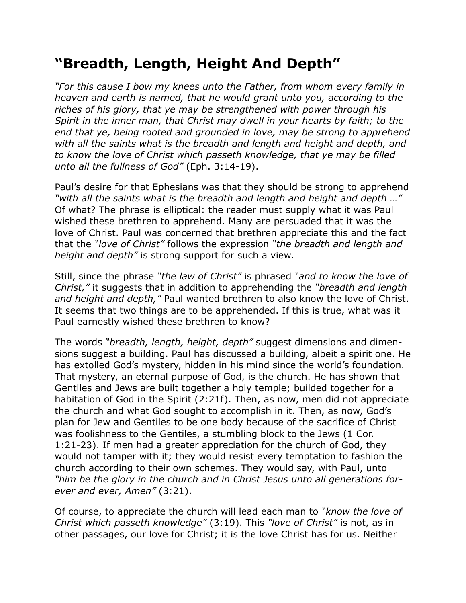## **"Breadth, Length, Height And Depth"**

*"For this cause I bow my knees unto the Father, from whom every family in heaven and earth is named, that he would grant unto you, according to the riches of his glory, that ye may be strengthened with power through his Spirit in the inner man, that Christ may dwell in your hearts by faith; to the end that ye, being rooted and grounded in love, may be strong to apprehend with all the saints what is the breadth and length and height and depth, and to know the love of Christ which passeth knowledge, that ye may be filled unto all the fullness of God"* (Eph. 3:14-19).

Paul's desire for that Ephesians was that they should be strong to apprehend *"with all the saints what is the breadth and length and height and depth …"* Of what? The phrase is elliptical: the reader must supply what it was Paul wished these brethren to apprehend. Many are persuaded that it was the love of Christ. Paul was concerned that brethren appreciate this and the fact that the *"love of Christ"* follows the expression *"the breadth and length and height and depth"* is strong support for such a view.

Still, since the phrase *"the law of Christ"* is phrased *"and to know the love of Christ,"* it suggests that in addition to apprehending the *"breadth and length and height and depth,"* Paul wanted brethren to also know the love of Christ. It seems that two things are to be apprehended. If this is true, what was it Paul earnestly wished these brethren to know?

The words *"breadth, length, height, depth"* suggest dimensions and dimensions suggest a building. Paul has discussed a building, albeit a spirit one. He has extolled God's mystery, hidden in his mind since the world's foundation. That mystery, an eternal purpose of God, is the church. He has shown that Gentiles and Jews are built together a holy temple; builded together for a habitation of God in the Spirit (2:21f). Then, as now, men did not appreciate the church and what God sought to accomplish in it. Then, as now, God's plan for Jew and Gentiles to be one body because of the sacrifice of Christ was foolishness to the Gentiles, a stumbling block to the Jews (1 Cor. 1:21-23). If men had a greater appreciation for the church of God, they would not tamper with it; they would resist every temptation to fashion the church according to their own schemes. They would say, with Paul, unto *"him be the glory in the church and in Christ Jesus unto all generations forever and ever, Amen"* (3:21).

Of course, to appreciate the church will lead each man to *"know the love of Christ which passeth knowledge"* (3:19). This *"love of Christ"* is not, as in other passages, our love for Christ; it is the love Christ has for us. Neither